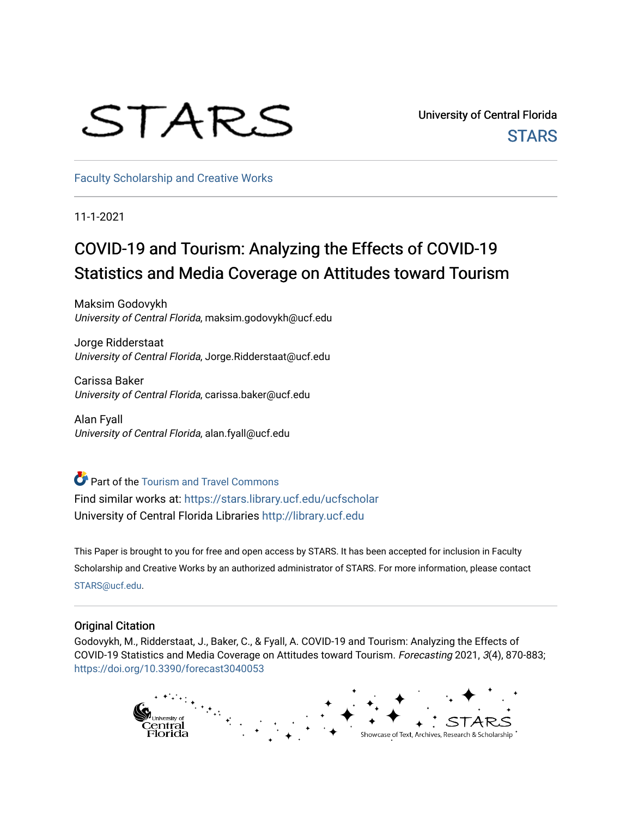# STARS

University of Central Florida **STARS** 

[Faculty Scholarship and Creative Works](https://stars.library.ucf.edu/ucfscholar) 

11-1-2021

## COVID-19 and Tourism: Analyzing the Effects of COVID-19 Statistics and Media Coverage on Attitudes toward Tourism

Maksim Godovykh University of Central Florida, maksim.godovykh@ucf.edu

Jorge Ridderstaat University of Central Florida, Jorge.Ridderstaat@ucf.edu

Carissa Baker University of Central Florida, carissa.baker@ucf.edu

Alan Fyall University of Central Florida, alan.fyall@ucf.edu

**Part of the [Tourism and Travel Commons](http://network.bepress.com/hgg/discipline/1082?utm_source=stars.library.ucf.edu%2Fucfscholar%2F1044&utm_medium=PDF&utm_campaign=PDFCoverPages)** Find similar works at: <https://stars.library.ucf.edu/ucfscholar> University of Central Florida Libraries [http://library.ucf.edu](http://library.ucf.edu/) 

This Paper is brought to you for free and open access by STARS. It has been accepted for inclusion in Faculty Scholarship and Creative Works by an authorized administrator of STARS. For more information, please contact [STARS@ucf.edu](mailto:STARS@ucf.edu).

### Original Citation

Godovykh, M., Ridderstaat, J., Baker, C., & Fyall, A. COVID-19 and Tourism: Analyzing the Effects of COVID-19 Statistics and Media Coverage on Attitudes toward Tourism. Forecasting 2021, 3(4), 870-883; <https://doi.org/10.3390/forecast3040053>

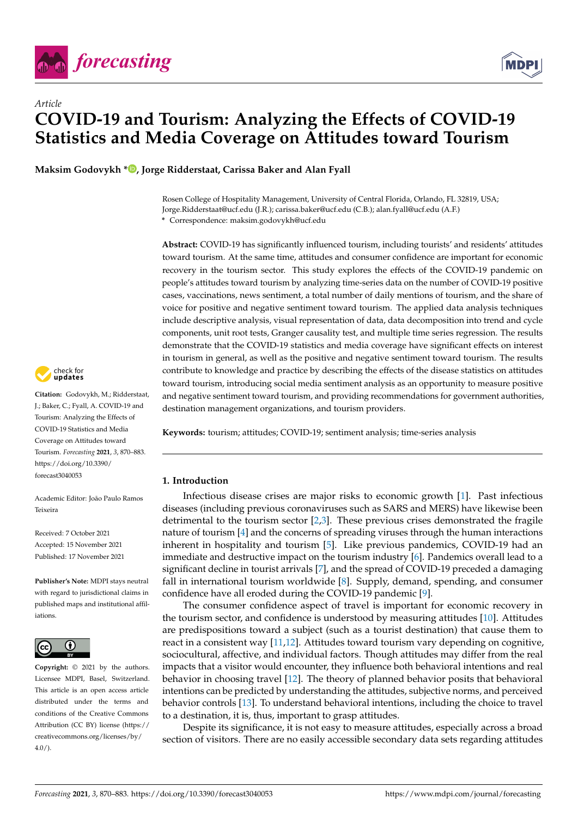

*Article*



## **COVID-19 and Tourism: Analyzing the Effects of COVID-19 Statistics and Media Coverage on Attitudes toward Tourism**

**Maksim Godovykh \* [,](https://orcid.org/0000-0003-4484-999X) Jorge Ridderstaat, Carissa Baker and Alan Fyall**

Rosen College of Hospitality Management, University of Central Florida, Orlando, FL 32819, USA; Jorge.Ridderstaat@ucf.edu (J.R.); carissa.baker@ucf.edu (C.B.); alan.fyall@ucf.edu (A.F.) **\*** Correspondence: maksim.godovykh@ucf.edu

**Abstract:** COVID-19 has significantly influenced tourism, including tourists' and residents' attitudes toward tourism. At the same time, attitudes and consumer confidence are important for economic recovery in the tourism sector. This study explores the effects of the COVID-19 pandemic on people's attitudes toward tourism by analyzing time-series data on the number of COVID-19 positive cases, vaccinations, news sentiment, a total number of daily mentions of tourism, and the share of voice for positive and negative sentiment toward tourism. The applied data analysis techniques include descriptive analysis, visual representation of data, data decomposition into trend and cycle components, unit root tests, Granger causality test, and multiple time series regression. The results demonstrate that the COVID-19 statistics and media coverage have significant effects on interest in tourism in general, as well as the positive and negative sentiment toward tourism. The results contribute to knowledge and practice by describing the effects of the disease statistics on attitudes toward tourism, introducing social media sentiment analysis as an opportunity to measure positive and negative sentiment toward tourism, and providing recommendations for government authorities, destination management organizations, and tourism providers.

**Keywords:** tourism; attitudes; COVID-19; sentiment analysis; time-series analysis

#### **1. Introduction**

Infectious disease crises are major risks to economic growth [\[1\]](#page-12-0). Past infectious diseases (including previous coronaviruses such as SARS and MERS) have likewise been detrimental to the tourism sector  $[2,3]$  $[2,3]$ . These previous crises demonstrated the fragile nature of tourism [\[4\]](#page-12-3) and the concerns of spreading viruses through the human interactions inherent in hospitality and tourism [\[5\]](#page-12-4). Like previous pandemics, COVID-19 had an immediate and destructive impact on the tourism industry [\[6\]](#page-12-5). Pandemics overall lead to a significant decline in tourist arrivals [\[7\]](#page-12-6), and the spread of COVID-19 preceded a damaging fall in international tourism worldwide [\[8\]](#page-12-7). Supply, demand, spending, and consumer confidence have all eroded during the COVID-19 pandemic [\[9\]](#page-12-8).

The consumer confidence aspect of travel is important for economic recovery in the tourism sector, and confidence is understood by measuring attitudes [\[10\]](#page-12-9). Attitudes are predispositions toward a subject (such as a tourist destination) that cause them to react in a consistent way [\[11](#page-12-10)[,12\]](#page-12-11). Attitudes toward tourism vary depending on cognitive, sociocultural, affective, and individual factors. Though attitudes may differ from the real impacts that a visitor would encounter, they influence both behavioral intentions and real behavior in choosing travel [\[12\]](#page-12-11). The theory of planned behavior posits that behavioral intentions can be predicted by understanding the attitudes, subjective norms, and perceived behavior controls [\[13\]](#page-12-12). To understand behavioral intentions, including the choice to travel to a destination, it is, thus, important to grasp attitudes.

Despite its significance, it is not easy to measure attitudes, especially across a broad section of visitors. There are no easily accessible secondary data sets regarding attitudes



**Citation:** Godovykh, M.; Ridderstaat, J.; Baker, C.; Fyall, A. COVID-19 and Tourism: Analyzing the Effects of COVID-19 Statistics and Media Coverage on Attitudes toward Tourism. *Forecasting* **2021**, *3*, 870–883. [https://doi.org/10.3390/](https://doi.org/10.3390/forecast3040053) [forecast3040053](https://doi.org/10.3390/forecast3040053)

Academic Editor: João Paulo Ramos Teixeira

Received: 7 October 2021 Accepted: 15 November 2021 Published: 17 November 2021

**Publisher's Note:** MDPI stays neutral with regard to jurisdictional claims in published maps and institutional affiliations.



**Copyright:** © 2021 by the authors. Licensee MDPI, Basel, Switzerland. This article is an open access article distributed under the terms and conditions of the Creative Commons Attribution (CC BY) license (https:/[/](https://creativecommons.org/licenses/by/4.0/) [creativecommons.org/licenses/by/](https://creativecommons.org/licenses/by/4.0/)  $4.0/$ ).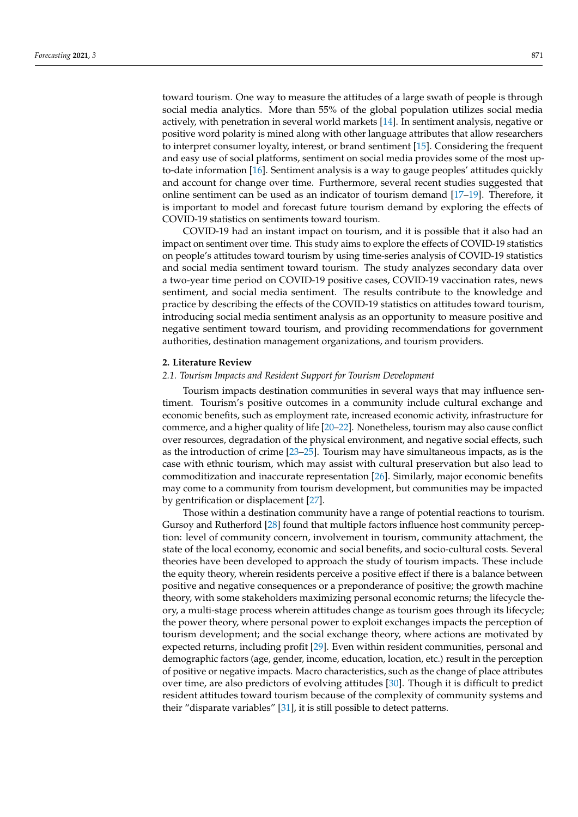toward tourism. One way to measure the attitudes of a large swath of people is through social media analytics. More than 55% of the global population utilizes social media actively, with penetration in several world markets [\[14\]](#page-12-13). In sentiment analysis, negative or positive word polarity is mined along with other language attributes that allow researchers to interpret consumer loyalty, interest, or brand sentiment [\[15\]](#page-12-14). Considering the frequent and easy use of social platforms, sentiment on social media provides some of the most upto-date information [\[16\]](#page-12-15). Sentiment analysis is a way to gauge peoples' attitudes quickly and account for change over time. Furthermore, several recent studies suggested that online sentiment can be used as an indicator of tourism demand [\[17–](#page-12-16)[19\]](#page-12-17). Therefore, it is important to model and forecast future tourism demand by exploring the effects of COVID-19 statistics on sentiments toward tourism.

COVID-19 had an instant impact on tourism, and it is possible that it also had an impact on sentiment over time. This study aims to explore the effects of COVID-19 statistics on people's attitudes toward tourism by using time-series analysis of COVID-19 statistics and social media sentiment toward tourism. The study analyzes secondary data over a two-year time period on COVID-19 positive cases, COVID-19 vaccination rates, news sentiment, and social media sentiment. The results contribute to the knowledge and practice by describing the effects of the COVID-19 statistics on attitudes toward tourism, introducing social media sentiment analysis as an opportunity to measure positive and negative sentiment toward tourism, and providing recommendations for government authorities, destination management organizations, and tourism providers.

#### **2. Literature Review**

#### *2.1. Tourism Impacts and Resident Support for Tourism Development*

Tourism impacts destination communities in several ways that may influence sentiment. Tourism's positive outcomes in a community include cultural exchange and economic benefits, such as employment rate, increased economic activity, infrastructure for commerce, and a higher quality of life [\[20](#page-12-18)[–22\]](#page-13-0). Nonetheless, tourism may also cause conflict over resources, degradation of the physical environment, and negative social effects, such as the introduction of crime [\[23](#page-13-1)[–25\]](#page-13-2). Tourism may have simultaneous impacts, as is the case with ethnic tourism, which may assist with cultural preservation but also lead to commoditization and inaccurate representation [\[26\]](#page-13-3). Similarly, major economic benefits may come to a community from tourism development, but communities may be impacted by gentrification or displacement [\[27\]](#page-13-4).

Those within a destination community have a range of potential reactions to tourism. Gursoy and Rutherford [\[28\]](#page-13-5) found that multiple factors influence host community perception: level of community concern, involvement in tourism, community attachment, the state of the local economy, economic and social benefits, and socio-cultural costs. Several theories have been developed to approach the study of tourism impacts. These include the equity theory, wherein residents perceive a positive effect if there is a balance between positive and negative consequences or a preponderance of positive; the growth machine theory, with some stakeholders maximizing personal economic returns; the lifecycle theory, a multi-stage process wherein attitudes change as tourism goes through its lifecycle; the power theory, where personal power to exploit exchanges impacts the perception of tourism development; and the social exchange theory, where actions are motivated by expected returns, including profit [\[29\]](#page-13-6). Even within resident communities, personal and demographic factors (age, gender, income, education, location, etc.) result in the perception of positive or negative impacts. Macro characteristics, such as the change of place attributes over time, are also predictors of evolving attitudes [\[30\]](#page-13-7). Though it is difficult to predict resident attitudes toward tourism because of the complexity of community systems and their "disparate variables" [\[31\]](#page-13-8), it is still possible to detect patterns.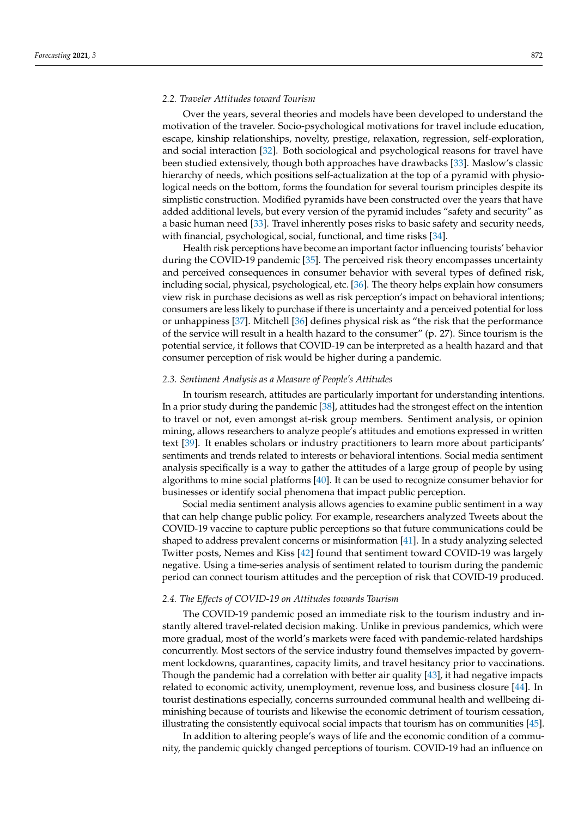#### *2.2. Traveler Attitudes toward Tourism*

Over the years, several theories and models have been developed to understand the motivation of the traveler. Socio-psychological motivations for travel include education, escape, kinship relationships, novelty, prestige, relaxation, regression, self-exploration, and social interaction [\[32\]](#page-13-9). Both sociological and psychological reasons for travel have been studied extensively, though both approaches have drawbacks [\[33\]](#page-13-10). Maslow's classic hierarchy of needs, which positions self-actualization at the top of a pyramid with physiological needs on the bottom, forms the foundation for several tourism principles despite its simplistic construction. Modified pyramids have been constructed over the years that have added additional levels, but every version of the pyramid includes "safety and security" as a basic human need [\[33\]](#page-13-10). Travel inherently poses risks to basic safety and security needs, with financial, psychological, social, functional, and time risks [\[34\]](#page-13-11).

Health risk perceptions have become an important factor influencing tourists' behavior during the COVID-19 pandemic [\[35\]](#page-13-12). The perceived risk theory encompasses uncertainty and perceived consequences in consumer behavior with several types of defined risk, including social, physical, psychological, etc. [\[36\]](#page-13-13). The theory helps explain how consumers view risk in purchase decisions as well as risk perception's impact on behavioral intentions; consumers are less likely to purchase if there is uncertainty and a perceived potential for loss or unhappiness [\[37\]](#page-13-14). Mitchell [\[36\]](#page-13-13) defines physical risk as "the risk that the performance of the service will result in a health hazard to the consumer" (p. 27). Since tourism is the potential service, it follows that COVID-19 can be interpreted as a health hazard and that consumer perception of risk would be higher during a pandemic.

#### *2.3. Sentiment Analysis as a Measure of People's Attitudes*

In tourism research, attitudes are particularly important for understanding intentions. In a prior study during the pandemic [\[38\]](#page-13-15), attitudes had the strongest effect on the intention to travel or not, even amongst at-risk group members. Sentiment analysis, or opinion mining, allows researchers to analyze people's attitudes and emotions expressed in written text [\[39\]](#page-13-16). It enables scholars or industry practitioners to learn more about participants' sentiments and trends related to interests or behavioral intentions. Social media sentiment analysis specifically is a way to gather the attitudes of a large group of people by using algorithms to mine social platforms [\[40\]](#page-13-17). It can be used to recognize consumer behavior for businesses or identify social phenomena that impact public perception.

Social media sentiment analysis allows agencies to examine public sentiment in a way that can help change public policy. For example, researchers analyzed Tweets about the COVID-19 vaccine to capture public perceptions so that future communications could be shaped to address prevalent concerns or misinformation [\[41\]](#page-13-18). In a study analyzing selected Twitter posts, Nemes and Kiss [\[42\]](#page-13-19) found that sentiment toward COVID-19 was largely negative. Using a time-series analysis of sentiment related to tourism during the pandemic period can connect tourism attitudes and the perception of risk that COVID-19 produced.

#### *2.4. The Effects of COVID-19 on Attitudes towards Tourism*

The COVID-19 pandemic posed an immediate risk to the tourism industry and instantly altered travel-related decision making. Unlike in previous pandemics, which were more gradual, most of the world's markets were faced with pandemic-related hardships concurrently. Most sectors of the service industry found themselves impacted by government lockdowns, quarantines, capacity limits, and travel hesitancy prior to vaccinations. Though the pandemic had a correlation with better air quality [\[43\]](#page-13-20), it had negative impacts related to economic activity, unemployment, revenue loss, and business closure [\[44\]](#page-13-21). In tourist destinations especially, concerns surrounded communal health and wellbeing diminishing because of tourists and likewise the economic detriment of tourism cessation, illustrating the consistently equivocal social impacts that tourism has on communities [\[45\]](#page-13-22).

In addition to altering people's ways of life and the economic condition of a community, the pandemic quickly changed perceptions of tourism. COVID-19 had an influence on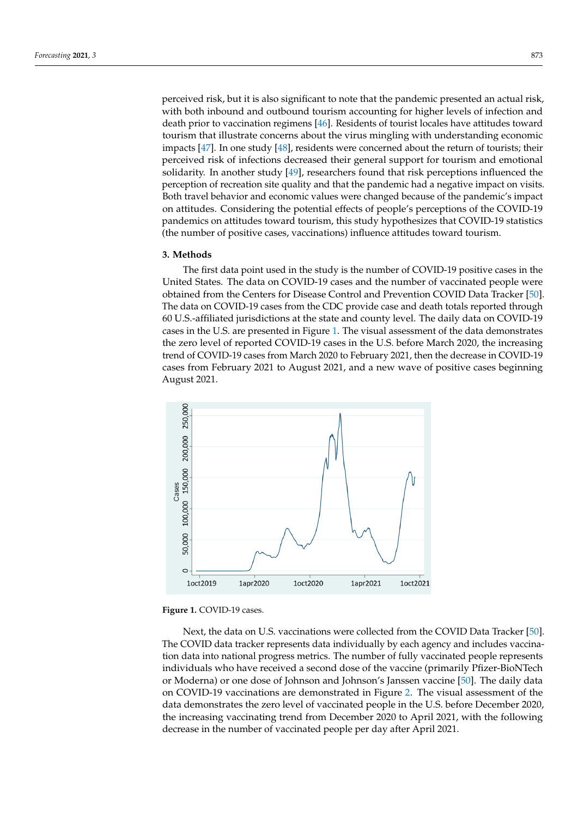perceived risk, but it is also significant to note that the pandemic presented an actual risk, with both inbound and outbound tourism accounting for higher levels of infection and death prior to vaccination regimens [\[46\]](#page-13-23). Residents of tourist locales have attitudes toward tourism that illustrate concerns about the virus mingling with understanding economic impacts [\[47\]](#page-13-24). In one study [\[48\]](#page-13-25), residents were concerned about the return of tourists; their perceived risk of infections decreased their general support for tourism and emotional solidarity. In another study [\[49\]](#page-13-26), researchers found that risk perceptions influenced the perception of recreation site quality and that the pandemic had a negative impact on visits. Both travel behavior and economic values were changed because of the pandemic's impact on attitudes. Considering the potential effects of people's perceptions of the COVID-19 pandemics on attitudes toward tourism, this study hypothesizes that COVID-19 statistics (the number of positive cases, vaccinations) influence attitudes toward tourism.

#### **3. Methods**

The first data point used in the study is the number of COVID-19 positive cases in the United States. The data on COVID-19 cases and the number of vaccinated people were obtained from the Centers for Disease Control and Prevention COVID Data Tracker [\[50\]](#page-13-27). The data on COVID-19 cases from the CDC provide case and death totals reported through 60 U.S.-affiliated jurisdictions at the state and county level. The daily data on COVID-19 cases in the U.S. are presented in Figure [1.](#page-4-0) The visual assessment of the data demonstrates the zero level of reported COVID-19 cases in the U.S. before March 2020, the increasing trend of COVID-19 cases from March 2020 to February 2021, then the decrease in COVID-19 cases from February 2021 to August 2021, and a new wave of positive cases beginning *Forecasting* **2021**, *3* 874 August 2021.

<span id="page-4-0"></span>

**Figure 1.** COVID-19 cases. **Figure 1.** COVID-19 cases.

Next, the data on U.S. vaccinations were collected from the COVID Data Tracker [\[50](#page-13-27)]. Next, the data on U.S. vaccinations were collected from the COVID Data Tracker [50]. The COVID data tracker represents data individually by each agency and includes vaccination data into national progress metrics. The number of fully vaccinated people represents individuals who have received a second dose of the vaccine (primarily Pfizer-BioNTech or Moderna) or one dose of Johnson and Johnson's Janssen v[acci](#page-13-27)ne [50]. The daily data on COVID-19 vaccinations are demonstrated in F[igu](#page-5-0)re 2. The visual assessment of the data demonstrates the zero level of vaccinated people in the U.S. before December 2020, the increasing vaccinating trend from December 2020 to April 2021, with the following ing decrease in the number of vaccinated people per day after April 2021. decrease in the number of vaccinated people per day after April 2021.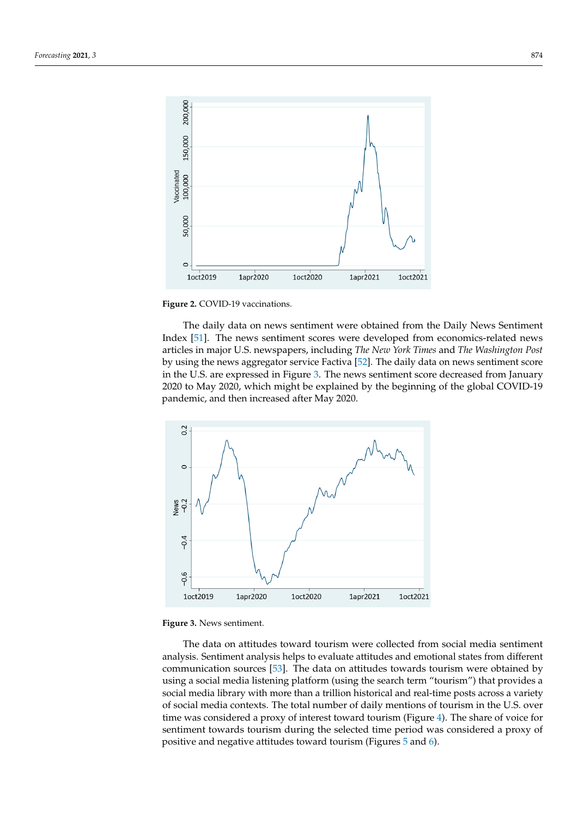<span id="page-5-0"></span>

**Figure 2.** COVID-19 vaccinations. **Figure 2.** COVID-19 vaccinations.

The daily data on news sentiment were obtained from the Daily News Sentiment The daily data on news sentiment were obtained from the Daily News Sentiment Index [\[51](#page-13-28)]. The news sentiment scores were developed from economics-related news cles in major U.S. newspapers, including *The New York Times* and *The Washington Post* by articles in major U.S. newspapers, including *The New York Times* and *The Washington Post* by using the news aggregator service Factiva [\[52\]](#page-13-29). The daily data on news sentiment score in the U.S. are expressed in Figure 3. [Th](#page-5-1)e news sentiment score decreased from January 2020 to May 2020, which might be explained by the beginning of the global COVID-19 demic, and then increased after May 2020. pandemic, and then increased after May 2020.

2020, the increasing vaccinating trend from December 2020 to April 2021, with the follow-

<span id="page-5-1"></span>



The data on attitudes toward tourism were collected from social media sentiment The data on attitudes toward tourism were collected from social media sentiment analysis. Sentiment analysis helps to evaluate attitudes and emotional states from different communication sources [\[53\]](#page-13-30). The data on attitudes towards tourism were obtained by using a social media listening platform (using the search term "tourism") that provides a using a social media listening platform (using the search term "tourism") that provides a social media library with more than a trillion historical and real-time posts across a variety social media library with more than a trillion historical and real-time posts across a variety of social media contexts. The total number of daily mentions of tourism in the U.S. over time was considered a proxy of interest toward tourism (Figur[e 4](#page-6-0)). The share of voice for time was considered a proxy of interest toward tourism (Figure 4). The share of voice for sentiment towards tourism during the selected time period was considered a proxy of sentiment towards tourism during the selected time period was considered a proxy of positive and negative attitudes toward tourism (Figure[s 5](#page-6-1) an[d 6](#page-6-2)). positive and negative attitudes toward tourism (Figures 5 and 6).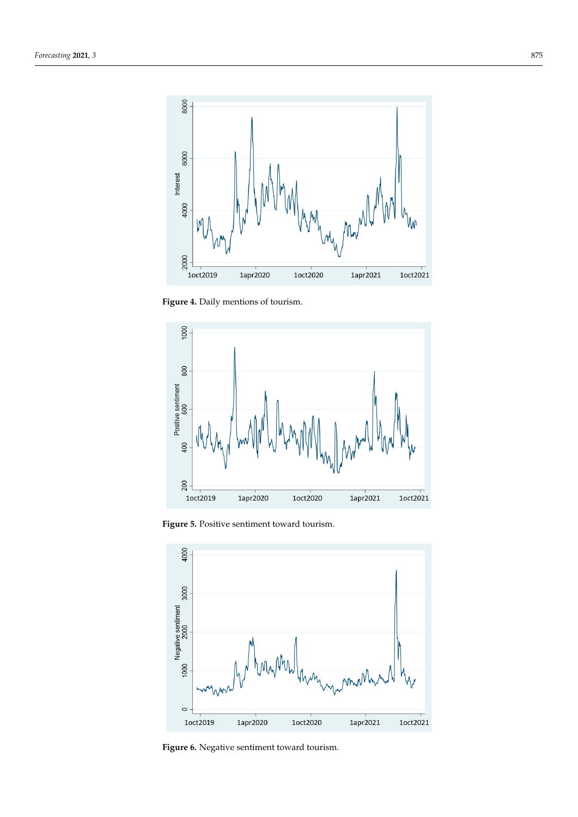<span id="page-6-0"></span>

sentiment towards tourism during the selected time period was considered a proxy of

**Figure 4.** Daily mentions of tourism.

<span id="page-6-1"></span>

**Figure 5.** Positive sentiment toward tourism. **Figure 5.** Positive sentiment toward tourism. **Figure 5.** Positive sentiment toward tourism.

<span id="page-6-2"></span>

**Figure 6.** Negative sentiment toward tourism. land Negative sentiment toward tourism.<br>The Negative sentiment toward tourism.<br>And New York to Negative sentiment toward tourism.<br>And New York to Negative sentiment toward tourism.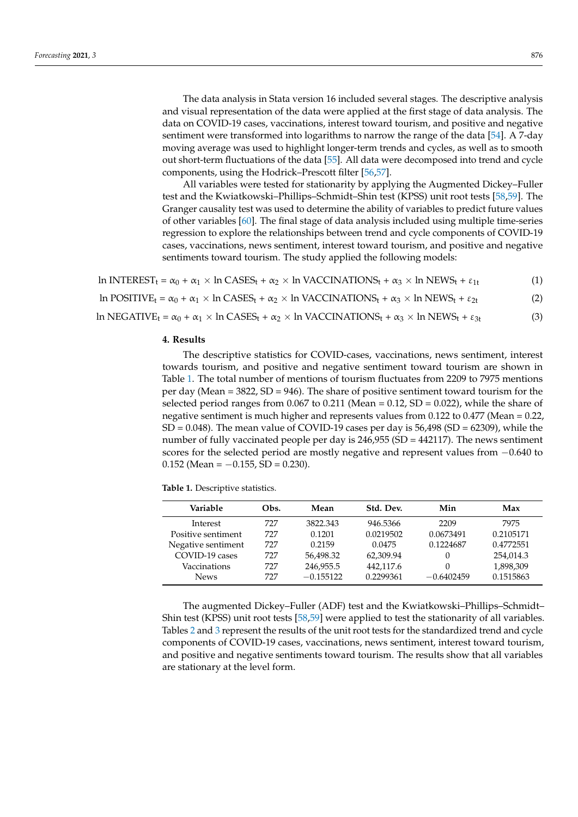The data analysis in Stata version 16 included several stages. The descriptive analysis and visual representation of the data were applied at the first stage of data analysis. The data on COVID-19 cases, vaccinations, interest toward tourism, and positive and negative sentiment were transformed into logarithms to narrow the range of the data [\[54\]](#page-13-31). A 7-day moving average was used to highlight longer-term trends and cycles, as well as to smooth out short-term fluctuations of the data [\[55\]](#page-13-32). All data were decomposed into trend and cycle components, using the Hodrick–Prescott filter [\[56](#page-14-0)[,57\]](#page-14-1).

All variables were tested for stationarity by applying the Augmented Dickey–Fuller test and the Kwiatkowski–Phillips–Schmidt–Shin test (KPSS) unit root tests [\[58,](#page-14-2)[59\]](#page-14-3). The Granger causality test was used to determine the ability of variables to predict future values of other variables [\[60\]](#page-14-4). The final stage of data analysis included using multiple time-series regression to explore the relationships between trend and cycle components of COVID-19 cases, vaccinations, news sentiment, interest toward tourism, and positive and negative sentiments toward tourism. The study applied the following models:

ln INTEREST<sub>t</sub> =  $\alpha_0 + \alpha_1 \times \ln \text{CASES}_t + \alpha_2 \times \ln \text{VACCINATIONS}_t + \alpha_3 \times \ln \text{NEWS}_t + \epsilon_{1t}$  (1) ln POSITIVE<sub>t</sub> =  $\alpha_0$  +  $\alpha_1$  × ln CASES<sub>t</sub> +  $\alpha_2$  × ln VACCINATIONS<sub>t</sub> +  $\alpha_3$  × ln NEWS<sub>t</sub> +  $\varepsilon_{2t}$  (2)

ln NEGATIVE<sub>t</sub> =  $\alpha_0$  +  $\alpha_1$  × ln CASES<sub>t</sub> +  $\alpha_2$  × ln VACCINATIONS<sub>t</sub> +  $\alpha_3$  × ln NEWS<sub>t</sub> +  $\varepsilon_{3t}$  (3)

#### **4. Results**

The descriptive statistics for COVID-cases, vaccinations, news sentiment, interest towards tourism, and positive and negative sentiment toward tourism are shown in Table [1.](#page-7-0) The total number of mentions of tourism fluctuates from 2209 to 7975 mentions per day (Mean = 3822, SD = 946). The share of positive sentiment toward tourism for the selected period ranges from  $0.067$  to  $0.211$  (Mean =  $0.12$ , SD =  $0.022$ ), while the share of negative sentiment is much higher and represents values from 0.122 to 0.477 (Mean = 0.22,  $SD = 0.048$ ). The mean value of COVID-19 cases per day is  $56,498$  (SD = 62309), while the number of fully vaccinated people per day is 246,955 (SD = 442117). The news sentiment scores for the selected period are mostly negative and represent values from  $-0.640$  to 0.152 (Mean =  $-0.155$ , SD = 0.230).

<span id="page-7-0"></span>

| Variable           | Obs. | Mean        | Std. Dev. | Min          | Max       |
|--------------------|------|-------------|-----------|--------------|-----------|
| Interest           | 727  | 3822.343    | 946.5366  | 2209         | 7975      |
| Positive sentiment | 727  | 0.1201      | 0.0219502 | 0.0673491    | 0.2105171 |
| Negative sentiment | 727  | 0.2159      | 0.0475    | 0.1224687    | 0.4772551 |
| COVID-19 cases     | 727  | 56,498.32   | 62,309.94 | 0            | 254,014.3 |
| Vaccinations       | 727  | 246,955.5   | 442,117.6 | 0            | 1,898,309 |
| <b>News</b>        | 727  | $-0.155122$ | 0.2299361 | $-0.6402459$ | 0.1515863 |

The augmented Dickey–Fuller (ADF) test and the Kwiatkowski–Phillips–Schmidt– Shin test (KPSS) unit root tests [\[58](#page-14-2)[,59\]](#page-14-3) were applied to test the stationarity of all variables. Tables [2](#page-8-0) and [3](#page-8-1) represent the results of the unit root tests for the standardized trend and cycle components of COVID-19 cases, vaccinations, news sentiment, interest toward tourism, and positive and negative sentiments toward tourism. The results show that all variables are stationary at the level form.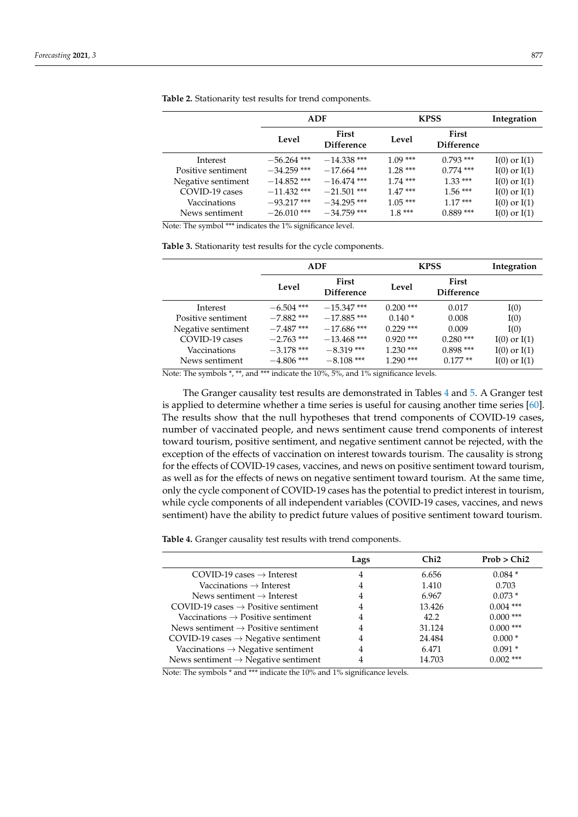|                    | ADF           |                     | <b>KPSS</b> |                                   | Integration      |
|--------------------|---------------|---------------------|-------------|-----------------------------------|------------------|
|                    | Level         | First<br>Difference | Level       | <b>First</b><br><b>Difference</b> |                  |
| Interest           | $-56.264$ *** | $-14.338$ ***       | $1.09***$   | $0.793$ ***                       | $I(0)$ or $I(1)$ |
| Positive sentiment | $-34.259$ *** | $-17.664$ ***       | $1.28***$   | $0.774$ ***                       | $I(0)$ or $I(1)$ |
| Negative sentiment | $-14.852$ *** | $-16.474$ ***       | $1.74$ ***  | $1.33***$                         | $I(0)$ or $I(1)$ |
| COVID-19 cases     | $-11.432$ *** | $-21.501$ ***       | $1.47***$   | $1.56***$                         | $I(0)$ or $I(1)$ |
| Vaccinations       | $-93.217$ *** | $-34.295$ ***       | $1.05***$   | $1.17***$                         | $I(0)$ or $I(1)$ |
| News sentiment     | $-26.010$ *** | $-34.759$ ***       | $1.8***$    | $0.889***$                        | $I(0)$ or $I(1)$ |

<span id="page-8-0"></span>**Table 2.** Stationarity test results for trend components.

Note: The symbol \*\*\* indicates the 1% significance level.

<span id="page-8-1"></span>**Table 3.** Stationarity test results for the cycle components.

|                    | ADF          |                            | <b>KPSS</b> |                            | Integration      |
|--------------------|--------------|----------------------------|-------------|----------------------------|------------------|
|                    | Level        | First<br><b>Difference</b> | Level       | First<br><b>Difference</b> |                  |
| Interest           | $-6.504$ *** | $-15.347$ ***              | $0.200$ *** | 0.017                      | I(0)             |
| Positive sentiment | $-7.882$ *** | $-17.885$ ***              | $0.140*$    | 0.008                      | I(0)             |
| Negative sentiment | $-7.487$ *** | $-17.686$ ***              | $0.229$ *** | 0.009                      | I(0)             |
| COVID-19 cases     | $-2.763$ *** | $-13.468$ ***              | $0.920$ *** | $0.280$ ***                | $I(0)$ or $I(1)$ |
| Vaccinations       | $-3.178$ *** | $-8.319$ ***               | $1.230$ *** | $0.898***$                 | $I(0)$ or $I(1)$ |
| News sentiment     | $-4.806$ *** | $-8.108$ ***               | $1.290$ *** | $0.177**$                  | $I(0)$ or $I(1)$ |

Note: The symbols \*, \*\*, and \*\*\* indicate the 10%, 5%, and 1% significance levels.

The Granger causality test results are demonstrated in Tables [4](#page-8-2) and [5.](#page-9-0) A Granger test is applied to determine whether a time series is useful for causing another time series [\[60\]](#page-14-4). The results show that the null hypotheses that trend components of COVID-19 cases, number of vaccinated people, and news sentiment cause trend components of interest toward tourism, positive sentiment, and negative sentiment cannot be rejected, with the exception of the effects of vaccination on interest towards tourism. The causality is strong for the effects of COVID-19 cases, vaccines, and news on positive sentiment toward tourism, as well as for the effects of news on negative sentiment toward tourism. At the same time, only the cycle component of COVID-19 cases has the potential to predict interest in tourism, while cycle components of all independent variables (COVID-19 cases, vaccines, and news sentiment) have the ability to predict future values of positive sentiment toward tourism.

<span id="page-8-2"></span>**Table 4.** Granger causality test results with trend components.

|                                                   | Lags | Chi <sub>2</sub> | Prob > Chi2 |
|---------------------------------------------------|------|------------------|-------------|
| COVID-19 cases $\rightarrow$ Interest             |      | 6.656            | $0.084*$    |
| Vaccinations $\rightarrow$ Interest               |      | 1.410            | 0.703       |
| News sentiment $\rightarrow$ Interest             |      | 6.967            | $0.073*$    |
| $COVID-19$ cases $\rightarrow$ Positive sentiment | 4    | 13.426           | $0.004$ *** |
| Vaccinations $\rightarrow$ Positive sentiment     |      | 42.2             | $0.000$ *** |
| News sentiment $\rightarrow$ Positive sentiment   | 4    | 31.124           | $0.000$ *** |
| COVID-19 cases $\rightarrow$ Negative sentiment   |      | 24.484           | $0.000*$    |
| Vaccinations $\rightarrow$ Negative sentiment     | 4    | 6.471            | $0.091*$    |
| News sentiment $\rightarrow$ Negative sentiment   |      | 14.703           | $0.002$ *** |

Note: The symbols \* and \*\*\* indicate the 10% and 1% significance levels.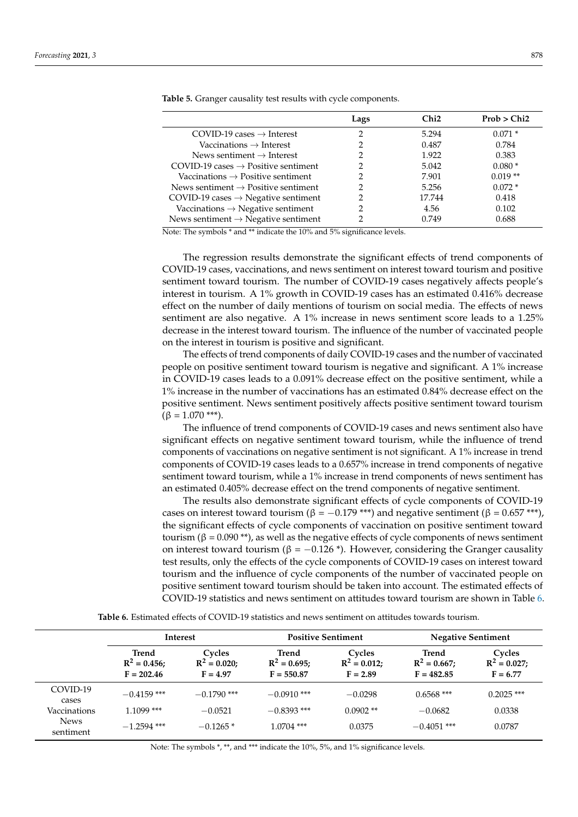|                                                   | Lags          | Chi2   | Prob > Chi2 |
|---------------------------------------------------|---------------|--------|-------------|
| COVID-19 cases $\rightarrow$ Interest             | າ             | 5.294  | $0.071*$    |
| Vaccinations $\rightarrow$ Interest               | າ             | 0.487  | 0.784       |
| News sentiment $\rightarrow$ Interest             |               | 1.922  | 0.383       |
| $COVID-19$ cases $\rightarrow$ Positive sentiment | 2             | 5.042  | $0.080*$    |
| Vaccinations $\rightarrow$ Positive sentiment     |               | 7.901  | $0.019**$   |
| News sentiment $\rightarrow$ Positive sentiment   | $\mathcal{D}$ | 5.256  | $0.072*$    |
| COVID-19 cases $\rightarrow$ Negative sentiment   |               | 17.744 | 0.418       |
| Vaccinations $\rightarrow$ Negative sentiment     | າ             | 4.56   | 0.102       |
| News sentiment $\rightarrow$ Negative sentiment   |               | 0.749  | 0.688       |

<span id="page-9-0"></span>**Table 5.** Granger causality test results with cycle components.

Note: The symbols \* and \*\* indicate the 10% and 5% significance levels.

The regression results demonstrate the significant effects of trend components of COVID-19 cases, vaccinations, and news sentiment on interest toward tourism and positive sentiment toward tourism. The number of COVID-19 cases negatively affects people's interest in tourism. A 1% growth in COVID-19 cases has an estimated 0.416% decrease effect on the number of daily mentions of tourism on social media. The effects of news sentiment are also negative. A 1% increase in news sentiment score leads to a 1.25% decrease in the interest toward tourism. The influence of the number of vaccinated people on the interest in tourism is positive and significant.

The effects of trend components of daily COVID-19 cases and the number of vaccinated people on positive sentiment toward tourism is negative and significant. A 1% increase in COVID-19 cases leads to a 0.091% decrease effect on the positive sentiment, while a 1% increase in the number of vaccinations has an estimated 0.84% decrease effect on the positive sentiment. News sentiment positively affects positive sentiment toward tourism  $(\beta = 1.070$  \*\*\*).

The influence of trend components of COVID-19 cases and news sentiment also have significant effects on negative sentiment toward tourism, while the influence of trend components of vaccinations on negative sentiment is not significant. A 1% increase in trend components of COVID-19 cases leads to a 0.657% increase in trend components of negative sentiment toward tourism, while a 1% increase in trend components of news sentiment has an estimated 0.405% decrease effect on the trend components of negative sentiment.

The results also demonstrate significant effects of cycle components of COVID-19 cases on interest toward tourism (β =  $-0.179$  \*\*\*) and negative sentiment (β = 0.657 \*\*\*), the significant effects of cycle components of vaccination on positive sentiment toward tourism ( $β = 0.090$ <sup>\*\*</sup>), as well as the negative effects of cycle components of news sentiment on interest toward tourism (β =  $-0.126$ <sup>\*</sup>). However, considering the Granger causality test results, only the effects of the cycle components of COVID-19 cases on interest toward tourism and the influence of cycle components of the number of vaccinated people on positive sentiment toward tourism should be taken into account. The estimated effects of COVID-19 statistics and news sentiment on attitudes toward tourism are shown in Table [6.](#page-9-1)

**Table 6.** Estimated effects of COVID-19 statistics and news sentiment on attitudes towards tourism.

<span id="page-9-1"></span>

|                          | <b>Interest</b>                          |                                       | <b>Positive Sentiment</b>               |                                         | <b>Negative Sentiment</b>              |                                        |
|--------------------------|------------------------------------------|---------------------------------------|-----------------------------------------|-----------------------------------------|----------------------------------------|----------------------------------------|
|                          | Trend<br>$R^2 = 0.456$ ;<br>$F = 202.46$ | Cycles<br>$R^2 = 0.020$<br>$F = 4.97$ | Trend<br>$R^2 = 0.695;$<br>$F = 550.87$ | Cycles<br>$R^2 = 0.012$ ;<br>$F = 2.89$ | Trend<br>$R^2 = 0.667$<br>$F = 482.85$ | Cycles<br>$R^2 = 0.027;$<br>$F = 6.77$ |
| COVID-19<br>cases        | $-0.4159$ ***                            | $-0.1790$ ***                         | $-0.0910$ ***                           | $-0.0298$                               | $0.6568$ ***                           | $0.2025$ ***                           |
| Vaccinations             | 1.1099 ***                               | $-0.0521$                             | $-0.8393$ ***                           | $0.0902**$                              | $-0.0682$                              | 0.0338                                 |
| <b>News</b><br>sentiment | $-1.2594$ ***                            | $-0.1265*$                            | $1.0704$ ***                            | 0.0375                                  | $-0.4051$ ***                          | 0.0787                                 |

Note: The symbols \*, \*\*, and \*\*\* indicate the 10%, 5%, and 1% significance levels.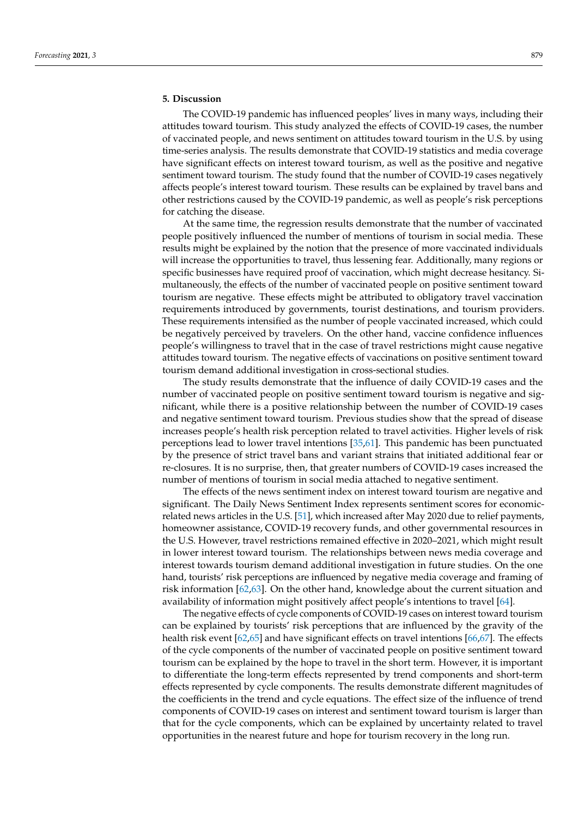#### **5. Discussion**

The COVID-19 pandemic has influenced peoples' lives in many ways, including their attitudes toward tourism. This study analyzed the effects of COVID-19 cases, the number of vaccinated people, and news sentiment on attitudes toward tourism in the U.S. by using time-series analysis. The results demonstrate that COVID-19 statistics and media coverage have significant effects on interest toward tourism, as well as the positive and negative sentiment toward tourism. The study found that the number of COVID-19 cases negatively affects people's interest toward tourism. These results can be explained by travel bans and other restrictions caused by the COVID-19 pandemic, as well as people's risk perceptions for catching the disease.

At the same time, the regression results demonstrate that the number of vaccinated people positively influenced the number of mentions of tourism in social media. These results might be explained by the notion that the presence of more vaccinated individuals will increase the opportunities to travel, thus lessening fear. Additionally, many regions or specific businesses have required proof of vaccination, which might decrease hesitancy. Simultaneously, the effects of the number of vaccinated people on positive sentiment toward tourism are negative. These effects might be attributed to obligatory travel vaccination requirements introduced by governments, tourist destinations, and tourism providers. These requirements intensified as the number of people vaccinated increased, which could be negatively perceived by travelers. On the other hand, vaccine confidence influences people's willingness to travel that in the case of travel restrictions might cause negative attitudes toward tourism. The negative effects of vaccinations on positive sentiment toward tourism demand additional investigation in cross-sectional studies.

The study results demonstrate that the influence of daily COVID-19 cases and the number of vaccinated people on positive sentiment toward tourism is negative and significant, while there is a positive relationship between the number of COVID-19 cases and negative sentiment toward tourism. Previous studies show that the spread of disease increases people's health risk perception related to travel activities. Higher levels of risk perceptions lead to lower travel intentions [\[35](#page-13-12)[,61\]](#page-14-5). This pandemic has been punctuated by the presence of strict travel bans and variant strains that initiated additional fear or re-closures. It is no surprise, then, that greater numbers of COVID-19 cases increased the number of mentions of tourism in social media attached to negative sentiment.

The effects of the news sentiment index on interest toward tourism are negative and significant. The Daily News Sentiment Index represents sentiment scores for economicrelated news articles in the U.S. [\[51\]](#page-13-28), which increased after May 2020 due to relief payments, homeowner assistance, COVID-19 recovery funds, and other governmental resources in the U.S. However, travel restrictions remained effective in 2020–2021, which might result in lower interest toward tourism. The relationships between news media coverage and interest towards tourism demand additional investigation in future studies. On the one hand, tourists' risk perceptions are influenced by negative media coverage and framing of risk information [\[62](#page-14-6)[,63\]](#page-14-7). On the other hand, knowledge about the current situation and availability of information might positively affect people's intentions to travel [\[64\]](#page-14-8).

The negative effects of cycle components of COVID-19 cases on interest toward tourism can be explained by tourists' risk perceptions that are influenced by the gravity of the health risk event [\[62,](#page-14-6)[65\]](#page-14-9) and have significant effects on travel intentions [\[66](#page-14-10)[,67\]](#page-14-11). The effects of the cycle components of the number of vaccinated people on positive sentiment toward tourism can be explained by the hope to travel in the short term. However, it is important to differentiate the long-term effects represented by trend components and short-term effects represented by cycle components. The results demonstrate different magnitudes of the coefficients in the trend and cycle equations. The effect size of the influence of trend components of COVID-19 cases on interest and sentiment toward tourism is larger than that for the cycle components, which can be explained by uncertainty related to travel opportunities in the nearest future and hope for tourism recovery in the long run.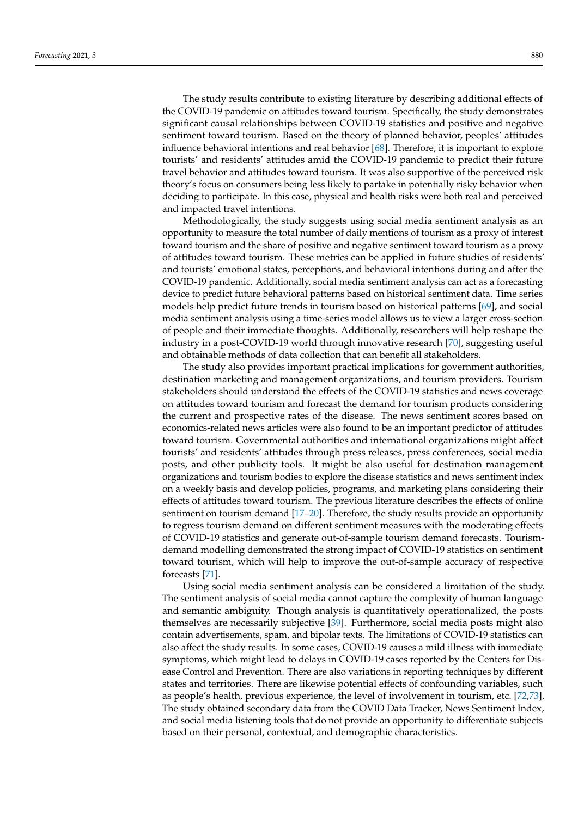The study results contribute to existing literature by describing additional effects of the COVID-19 pandemic on attitudes toward tourism. Specifically, the study demonstrates significant causal relationships between COVID-19 statistics and positive and negative sentiment toward tourism. Based on the theory of planned behavior, peoples' attitudes influence behavioral intentions and real behavior [\[68\]](#page-14-12). Therefore, it is important to explore tourists' and residents' attitudes amid the COVID-19 pandemic to predict their future travel behavior and attitudes toward tourism. It was also supportive of the perceived risk theory's focus on consumers being less likely to partake in potentially risky behavior when deciding to participate. In this case, physical and health risks were both real and perceived and impacted travel intentions.

Methodologically, the study suggests using social media sentiment analysis as an opportunity to measure the total number of daily mentions of tourism as a proxy of interest toward tourism and the share of positive and negative sentiment toward tourism as a proxy of attitudes toward tourism. These metrics can be applied in future studies of residents' and tourists' emotional states, perceptions, and behavioral intentions during and after the COVID-19 pandemic. Additionally, social media sentiment analysis can act as a forecasting device to predict future behavioral patterns based on historical sentiment data. Time series models help predict future trends in tourism based on historical patterns [\[69\]](#page-14-13), and social media sentiment analysis using a time-series model allows us to view a larger cross-section of people and their immediate thoughts. Additionally, researchers will help reshape the industry in a post-COVID-19 world through innovative research [\[70\]](#page-14-14), suggesting useful and obtainable methods of data collection that can benefit all stakeholders.

The study also provides important practical implications for government authorities, destination marketing and management organizations, and tourism providers. Tourism stakeholders should understand the effects of the COVID-19 statistics and news coverage on attitudes toward tourism and forecast the demand for tourism products considering the current and prospective rates of the disease. The news sentiment scores based on economics-related news articles were also found to be an important predictor of attitudes toward tourism. Governmental authorities and international organizations might affect tourists' and residents' attitudes through press releases, press conferences, social media posts, and other publicity tools. It might be also useful for destination management organizations and tourism bodies to explore the disease statistics and news sentiment index on a weekly basis and develop policies, programs, and marketing plans considering their effects of attitudes toward tourism. The previous literature describes the effects of online sentiment on tourism demand [17-[20\]](#page-12-18). Therefore, the study results provide an opportunity to regress tourism demand on different sentiment measures with the moderating effects of COVID-19 statistics and generate out-of-sample tourism demand forecasts. Tourismdemand modelling demonstrated the strong impact of COVID-19 statistics on sentiment toward tourism, which will help to improve the out-of-sample accuracy of respective forecasts [\[71\]](#page-14-15).

Using social media sentiment analysis can be considered a limitation of the study. The sentiment analysis of social media cannot capture the complexity of human language and semantic ambiguity. Though analysis is quantitatively operationalized, the posts themselves are necessarily subjective [\[39\]](#page-13-16). Furthermore, social media posts might also contain advertisements, spam, and bipolar texts. The limitations of COVID-19 statistics can also affect the study results. In some cases, COVID-19 causes a mild illness with immediate symptoms, which might lead to delays in COVID-19 cases reported by the Centers for Disease Control and Prevention. There are also variations in reporting techniques by different states and territories. There are likewise potential effects of confounding variables, such as people's health, previous experience, the level of involvement in tourism, etc. [\[72,](#page-14-16)[73\]](#page-14-17). The study obtained secondary data from the COVID Data Tracker, News Sentiment Index, and social media listening tools that do not provide an opportunity to differentiate subjects based on their personal, contextual, and demographic characteristics.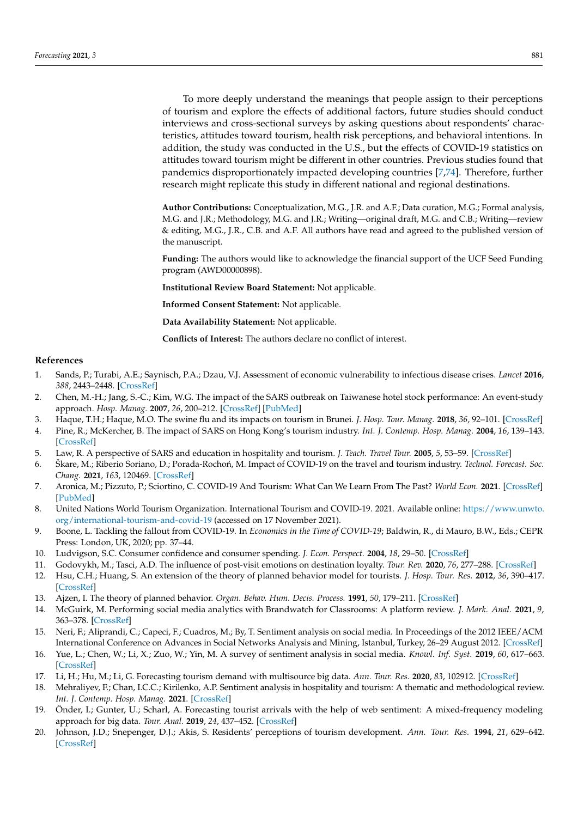To more deeply understand the meanings that people assign to their perceptions of tourism and explore the effects of additional factors, future studies should conduct interviews and cross-sectional surveys by asking questions about respondents' characteristics, attitudes toward tourism, health risk perceptions, and behavioral intentions. In addition, the study was conducted in the U.S., but the effects of COVID-19 statistics on attitudes toward tourism might be different in other countries. Previous studies found that pandemics disproportionately impacted developing countries [\[7](#page-12-6)[,74\]](#page-14-18). Therefore, further research might replicate this study in different national and regional destinations.

**Author Contributions:** Conceptualization, M.G., J.R. and A.F.; Data curation, M.G.; Formal analysis, M.G. and J.R.; Methodology, M.G. and J.R.; Writing—original draft, M.G. and C.B.; Writing—review & editing, M.G., J.R., C.B. and A.F. All authors have read and agreed to the published version of the manuscript.

**Funding:** The authors would like to acknowledge the financial support of the UCF Seed Funding program (AWD00000898).

**Institutional Review Board Statement:** Not applicable.

**Informed Consent Statement:** Not applicable.

**Data Availability Statement:** Not applicable.

**Conflicts of Interest:** The authors declare no conflict of interest.

#### **References**

- <span id="page-12-0"></span>1. Sands, P.; Turabi, A.E.; Saynisch, P.A.; Dzau, V.J. Assessment of economic vulnerability to infectious disease crises. *Lancet* **2016**, *388*, 2443–2448. [\[CrossRef\]](http://doi.org/10.1016/S0140-6736(16)30594-3)
- <span id="page-12-1"></span>2. Chen, M.-H.; Jang, S.-C.; Kim, W.G. The impact of the SARS outbreak on Taiwanese hotel stock performance: An event-study approach. *Hosp. Manag.* **2007**, *26*, 200–212. [\[CrossRef\]](http://doi.org/10.1016/j.ijhm.2005.11.004) [\[PubMed\]](http://www.ncbi.nlm.nih.gov/pubmed/32287849)
- <span id="page-12-2"></span>3. Haque, T.H.; Haque, M.O. The swine flu and its impacts on tourism in Brunei. *J. Hosp. Tour. Manag.* **2018**, *36*, 92–101. [\[CrossRef\]](http://doi.org/10.1016/j.jhtm.2016.12.003)
- <span id="page-12-3"></span>4. Pine, R.; McKercher, B. The impact of SARS on Hong Kong's tourism industry. *Int. J. Contemp. Hosp. Manag.* **2004**, *16*, 139–143. [\[CrossRef\]](http://doi.org/10.1108/09596110410520034)
- <span id="page-12-4"></span>5. Law, R. A perspective of SARS and education in hospitality and tourism. *J. Teach. Travel Tour.* **2005**, *5*, 53–59. [\[CrossRef\]](http://doi.org/10.1300/J172v05n04_04)
- <span id="page-12-5"></span>6. Škare, M.; Riberio Soriano, D.; Porada-Rochoń, M. Impact of COVID-19 on the travel and tourism industry. *Technol. Forecast. Soc. Chang.* **2021**, *163*, 120469. [\[CrossRef\]](http://doi.org/10.1016/j.techfore.2020.120469)
- <span id="page-12-6"></span>7. Aronica, M.; Pizzuto, P.; Sciortino, C. COVID-19 And Tourism: What Can We Learn From The Past? *World Econ.* **2021**. [\[CrossRef\]](http://doi.org/10.1111/twec.13157) [\[PubMed\]](http://www.ncbi.nlm.nih.gov/pubmed/34226792)
- <span id="page-12-7"></span>8. United Nations World Tourism Organization. International Tourism and COVID-19. 2021. Available online: [https://www.unwto.](https://www.unwto.org/international-tourism-and-covid-19) [org/international-tourism-and-covid-19](https://www.unwto.org/international-tourism-and-covid-19) (accessed on 17 November 2021).
- <span id="page-12-8"></span>9. Boone, L. Tackling the fallout from COVID-19. In *Economics in the Time of COVID-19*; Baldwin, R., di Mauro, B.W., Eds.; CEPR Press: London, UK, 2020; pp. 37–44.
- <span id="page-12-9"></span>10. Ludvigson, S.C. Consumer confidence and consumer spending. *J. Econ. Perspect.* **2004**, *18*, 29–50. [\[CrossRef\]](http://doi.org/10.1257/0895330041371222)
- <span id="page-12-10"></span>11. Godovykh, M.; Tasci, A.D. The influence of post-visit emotions on destination loyalty. *Tour. Rev.* **2020**, *76*, 277–288. [\[CrossRef\]](http://doi.org/10.1108/TR-01-2020-0025)
- <span id="page-12-11"></span>12. Hsu, C.H.; Huang, S. An extension of the theory of planned behavior model for tourists. *J. Hosp. Tour. Res.* **2012**, *36*, 390–417. [\[CrossRef\]](http://doi.org/10.1177/1096348010390817)
- <span id="page-12-12"></span>13. Ajzen, I. The theory of planned behavior. *Organ. Behav. Hum. Decis. Process.* **1991**, *50*, 179–211. [\[CrossRef\]](http://doi.org/10.1016/0749-5978(91)90020-T)
- <span id="page-12-13"></span>14. McGuirk, M. Performing social media analytics with Brandwatch for Classrooms: A platform review. *J. Mark. Anal.* **2021**, *9*, 363–378. [\[CrossRef\]](http://doi.org/10.1057/s41270-021-00128-5)
- <span id="page-12-14"></span>15. Neri, F.; Aliprandi, C.; Capeci, F.; Cuadros, M.; By, T. Sentiment analysis on social media. In Proceedings of the 2012 IEEE/ACM International Conference on Advances in Social Networks Analysis and Mining, Istanbul, Turkey, 26–29 August 2012. [\[CrossRef\]](http://doi.org/10.1109/ASONAM.2012.164)
- <span id="page-12-15"></span>16. Yue, L.; Chen, W.; Li, X.; Zuo, W.; Yin, M. A survey of sentiment analysis in social media. *Knowl. Inf. Syst.* **2019**, *60*, 617–663. [\[CrossRef\]](http://doi.org/10.1007/s10115-018-1236-4)
- <span id="page-12-16"></span>17. Li, H.; Hu, M.; Li, G. Forecasting tourism demand with multisource big data. *Ann. Tour. Res.* **2020**, *83*, 102912. [\[CrossRef\]](http://doi.org/10.1016/j.annals.2020.102912)
- 18. Mehraliyev, F.; Chan, I.C.C.; Kirilenko, A.P. Sentiment analysis in hospitality and tourism: A thematic and methodological review. *Int. J. Contemp. Hosp. Manag.* **2021**. [\[CrossRef\]](http://doi.org/10.1108/IJCHM-02-2021-0132)
- <span id="page-12-17"></span>19. Önder, I.; Gunter, U.; Scharl, A. Forecasting tourist arrivals with the help of web sentiment: A mixed-frequency modeling approach for big data. *Tour. Anal.* **2019**, *24*, 437–452. [\[CrossRef\]](http://doi.org/10.3727/108354219X15652651367442)
- <span id="page-12-18"></span>20. Johnson, J.D.; Snepenger, D.J.; Akis, S. Residents' perceptions of tourism development. *Ann. Tour. Res.* **1994**, *21*, 629–642. [\[CrossRef\]](http://doi.org/10.1016/0160-7383(94)90124-4)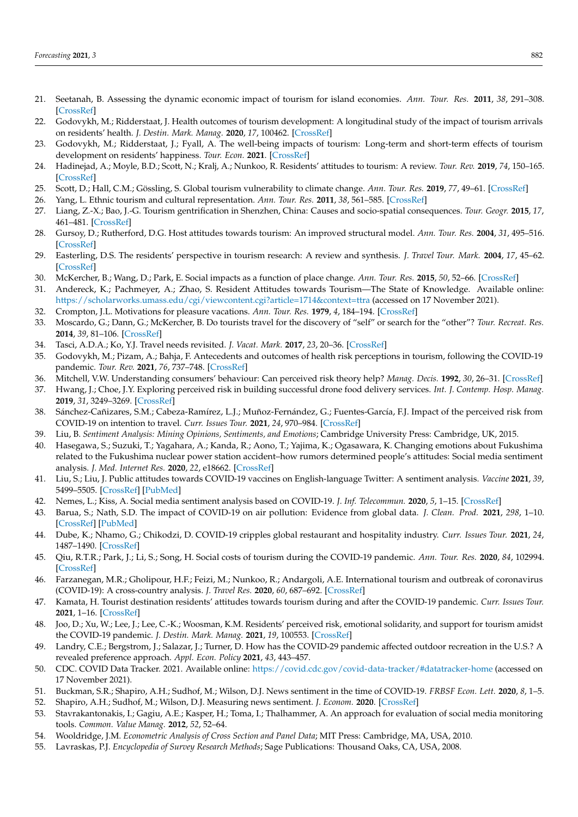- 21. Seetanah, B. Assessing the dynamic economic impact of tourism for island economies. *Ann. Tour. Res.* **2011**, *38*, 291–308. [\[CrossRef\]](http://doi.org/10.1016/j.annals.2010.08.009)
- <span id="page-13-0"></span>22. Godovykh, M.; Ridderstaat, J. Health outcomes of tourism development: A longitudinal study of the impact of tourism arrivals on residents' health. *J. Destin. Mark. Manag.* **2020**, *17*, 100462. [\[CrossRef\]](http://doi.org/10.1016/j.jdmm.2020.100462)
- <span id="page-13-1"></span>23. Godovykh, M.; Ridderstaat, J.; Fyall, A. The well-being impacts of tourism: Long-term and short-term effects of tourism development on residents' happiness. *Tour. Econ.* **2021**. [\[CrossRef\]](http://doi.org/10.1177/13548166211041227)
- 24. Hadinejad, A.; Moyle, B.D.; Scott, N.; Kralj, A.; Nunkoo, R. Residents' attitudes to tourism: A review. *Tour. Rev.* **2019**, *74*, 150–165. [\[CrossRef\]](http://doi.org/10.1108/TR-01-2018-0003)
- <span id="page-13-2"></span>25. Scott, D.; Hall, C.M.; Gössling, S. Global tourism vulnerability to climate change. *Ann. Tour. Res.* **2019**, *77*, 49–61. [\[CrossRef\]](http://doi.org/10.1016/j.annals.2019.05.007)
- <span id="page-13-3"></span>26. Yang, L. Ethnic tourism and cultural representation. *Ann. Tour. Res.* **2011**, *38*, 561–585. [\[CrossRef\]](http://doi.org/10.1016/j.annals.2010.10.009)
- <span id="page-13-4"></span>27. Liang, Z.-X.; Bao, J.-G. Tourism gentrification in Shenzhen, China: Causes and socio-spatial consequences. *Tour. Geogr.* **2015**, *17*, 461–481. [\[CrossRef\]](http://doi.org/10.1080/14616688.2014.1000954)
- <span id="page-13-5"></span>28. Gursoy, D.; Rutherford, D.G. Host attitudes towards tourism: An improved structural model. *Ann. Tour. Res.* **2004**, *31*, 495–516. [\[CrossRef\]](http://doi.org/10.1016/j.annals.2003.08.008)
- <span id="page-13-6"></span>29. Easterling, D.S. The residents' perspective in tourism research: A review and synthesis. *J. Travel Tour. Mark.* **2004**, *17*, 45–62. [\[CrossRef\]](http://doi.org/10.1300/J073v17n04_05)
- <span id="page-13-7"></span>30. McKercher, B.; Wang, D.; Park, E. Social impacts as a function of place change. *Ann. Tour. Res.* **2015**, *50*, 52–66. [\[CrossRef\]](http://doi.org/10.1016/j.annals.2014.11.002)
- <span id="page-13-8"></span>31. Andereck, K.; Pachmeyer, A.; Zhao, S. Resident Attitudes towards Tourism—The State of Knowledge. Available online: <https://scholarworks.umass.edu/cgi/viewcontent.cgi?article=1714&context=ttra> (accessed on 17 November 2021).
- <span id="page-13-9"></span>32. Crompton, J.L. Motivations for pleasure vacations. *Ann. Tour. Res.* **1979**, *4*, 184–194. [\[CrossRef\]](http://doi.org/10.1016/0160-7383(79)90004-5)
- <span id="page-13-10"></span>33. Moscardo, G.; Dann, G.; McKercher, B. Do tourists travel for the discovery of "self" or search for the "other"? *Tour. Recreat. Res.* **2014**, *39*, 81–106. [\[CrossRef\]](http://doi.org/10.1080/02508281.2014.11081328)
- <span id="page-13-11"></span>34. Tasci, A.D.A.; Ko, Y.J. Travel needs revisited. *J. Vacat. Mark.* **2017**, *23*, 20–36. [\[CrossRef\]](http://doi.org/10.1177/1356766715617499)
- <span id="page-13-12"></span>35. Godovykh, M.; Pizam, A.; Bahja, F. Antecedents and outcomes of health risk perceptions in tourism, following the COVID-19 pandemic. *Tour. Rev.* **2021**, *76*, 737–748. [\[CrossRef\]](http://doi.org/10.1108/TR-06-2020-0257)
- <span id="page-13-13"></span>36. Mitchell, V.W. Understanding consumers' behaviour: Can perceived risk theory help? *Manag. Decis.* **1992**, *30*, 26–31. [\[CrossRef\]](http://doi.org/10.1108/00251749210013050)
- <span id="page-13-14"></span>37. Hwang, J.; Choe, J.Y. Exploring perceived risk in building successful drone food delivery services. *Int. J. Contemp. Hosp. Manag.* **2019**, *31*, 3249–3269. [\[CrossRef\]](http://doi.org/10.1108/IJCHM-07-2018-0558)
- <span id="page-13-15"></span>38. Sánchez-Cañizares, S.M.; Cabeza-Ramírez, L.J.; Muñoz-Fernández, G.; Fuentes-García, F.J. Impact of the perceived risk from COVID-19 on intention to travel. *Curr. Issues Tour.* **2021**, *24*, 970–984. [\[CrossRef\]](http://doi.org/10.1080/13683500.2020.1829571)
- <span id="page-13-16"></span>39. Liu, B. *Sentiment Analysis: Mining Opinions, Sentiments, and Emotions*; Cambridge University Press: Cambridge, UK, 2015.
- <span id="page-13-17"></span>40. Hasegawa, S.; Suzuki, T.; Yagahara, A.; Kanda, R.; Aono, T.; Yajima, K.; Ogasawara, K. Changing emotions about Fukushima related to the Fukushima nuclear power station accident–how rumors determined people's attitudes: Social media sentiment analysis. *J. Med. Internet Res.* **2020**, *22*, e18662. [\[CrossRef\]](http://doi.org/10.2196/18662)
- <span id="page-13-18"></span>41. Liu, S.; Liu, J. Public attitudes towards COVID-19 vaccines on English-language Twitter: A sentiment analysis. *Vaccine* **2021**, *39*, 5499–5505. [\[CrossRef\]](http://doi.org/10.1016/j.vaccine.2021.08.058) [\[PubMed\]](http://www.ncbi.nlm.nih.gov/pubmed/34452774)
- <span id="page-13-19"></span>42. Nemes, L.; Kiss, A. Social media sentiment analysis based on COVID-19. *J. Inf. Telecommun.* **2020**, *5*, 1–15. [\[CrossRef\]](http://doi.org/10.1080/24751839.2020.1790793)
- <span id="page-13-20"></span>43. Barua, S.; Nath, S.D. The impact of COVID-19 on air pollution: Evidence from global data. *J. Clean. Prod.* **2021**, *298*, 1–10. [\[CrossRef\]](http://doi.org/10.1016/j.jclepro.2021.126755) [\[PubMed\]](http://www.ncbi.nlm.nih.gov/pubmed/34754147)
- <span id="page-13-21"></span>44. Dube, K.; Nhamo, G.; Chikodzi, D. COVID-19 cripples global restaurant and hospitality industry. *Curr. Issues Tour.* **2021**, *24*, 1487–1490. [\[CrossRef\]](http://doi.org/10.1080/13683500.2020.1773416)
- <span id="page-13-22"></span>45. Qiu, R.T.R.; Park, J.; Li, S.; Song, H. Social costs of tourism during the COVID-19 pandemic. *Ann. Tour. Res.* **2020**, *84*, 102994. [\[CrossRef\]](http://doi.org/10.1016/j.annals.2020.102994)
- <span id="page-13-23"></span>46. Farzanegan, M.R.; Gholipour, H.F.; Feizi, M.; Nunkoo, R.; Andargoli, A.E. International tourism and outbreak of coronavirus (COVID-19): A cross-country analysis. *J. Travel Res.* **2020**, *60*, 687–692. [\[CrossRef\]](http://doi.org/10.1177/0047287520931593)
- <span id="page-13-24"></span>47. Kamata, H. Tourist destination residents' attitudes towards tourism during and after the COVID-19 pandemic. *Curr. Issues Tour.* **2021**, 1–16. [\[CrossRef\]](http://doi.org/10.1080/13683500.2021.1881452)
- <span id="page-13-25"></span>48. Joo, D.; Xu, W.; Lee, J.; Lee, C.-K.; Woosman, K.M. Residents' perceived risk, emotional solidarity, and support for tourism amidst the COVID-19 pandemic. *J. Destin. Mark. Manag.* **2021**, *19*, 100553. [\[CrossRef\]](http://doi.org/10.1016/j.jdmm.2021.100553)
- <span id="page-13-26"></span>49. Landry, C.E.; Bergstrom, J.; Salazar, J.; Turner, D. How has the COVID-29 pandemic affected outdoor recreation in the U.S.? A revealed preference approach. *Appl. Econ. Policy* **2021**, *43*, 443–457.
- <span id="page-13-27"></span>50. CDC. COVID Data Tracker. 2021. Available online: <https://covid.cdc.gov/covid-data-tracker/#datatracker-home> (accessed on 17 November 2021).
- <span id="page-13-28"></span>51. Buckman, S.R.; Shapiro, A.H.; Sudhof, M.; Wilson, D.J. News sentiment in the time of COVID-19. *FRBSF Econ. Lett.* **2020**, *8*, 1–5.
- <span id="page-13-29"></span>52. Shapiro, A.H.; Sudhof, M.; Wilson, D.J. Measuring news sentiment. *J. Econom.* **2020**. [\[CrossRef\]](http://doi.org/10.1016/j.jeconom.2020.07.053)
- <span id="page-13-30"></span>53. Stavrakantonakis, I.; Gagiu, A.E.; Kasper, H.; Toma, I.; Thalhammer, A. An approach for evaluation of social media monitoring tools. *Common. Value Manag.* **2012**, *52*, 52–64.
- <span id="page-13-31"></span>54. Wooldridge, J.M. *Econometric Analysis of Cross Section and Panel Data*; MIT Press: Cambridge, MA, USA, 2010.
- <span id="page-13-32"></span>55. Lavraskas, P.J. *Encyclopedia of Survey Research Methods*; Sage Publications: Thousand Oaks, CA, USA, 2008.